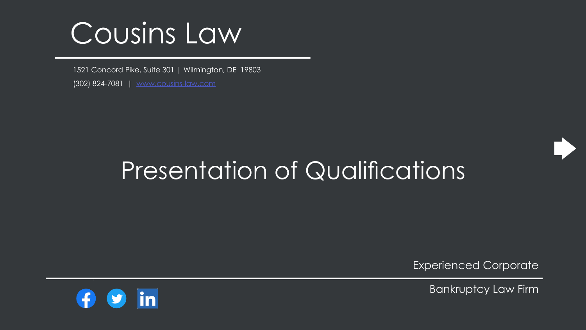# Presentation of Qualifications

1521 Concord Pike, Suite 301 | Wilmington, DE 19803 (302) 824-7081 | [www.cousins-law.com](https://cousins-law.com/)



# [Cousins Law](https://cousins-law.com/)

Experienced Corporate

Bankruptcy Law Firm

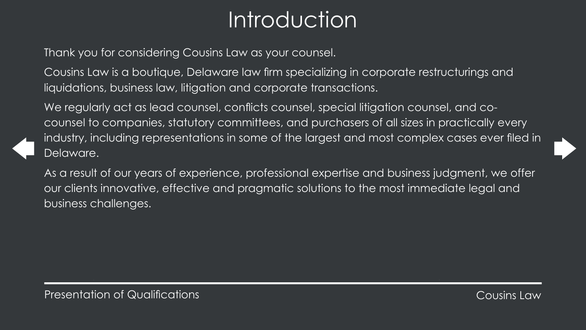

# Introduction

Thank you for considering Cousins Law as your counsel.

Cousins Law is a boutique, Delaware law firm specializing in corporate restructurings and liquidations, business law, litigation and corporate transactions.

We regularly act as lead counsel, conflicts counsel, special litigation counsel, and cocounsel to companies, statutory committees, and purchasers of all sizes in practically every industry, including representations in some of the largest and most complex cases ever filed in Delaware.

As a result of our years of experience, professional expertise and business judgment, we offer our clients innovative, effective and pragmatic solutions to the most immediate legal and business challenges.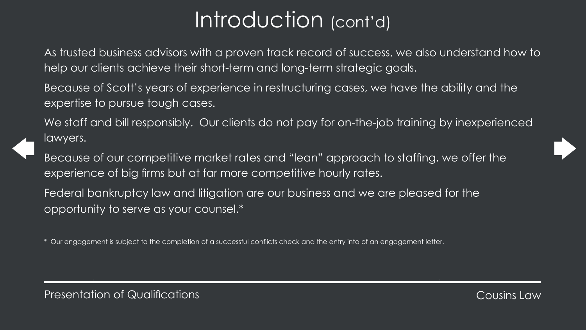# Introduction (cont'd)

help our clients achieve their short-term and long-term strategic goals.

- As trusted business advisors with a proven track record of success, we also understand how to
- Because of Scott's years of experience in restructuring cases, we have the ability and the
- We staff and bill responsibly. Our clients do not pay for on-the-job training by inexperienced
- Because of our competitive market rates and "lean" approach to staffing, we offer the
	-





expertise to pursue tough cases.

lawyers.

experience of big firms but at far more competitive hourly rates. Federal bankruptcy law and litigation are our business and we are pleased for the opportunity to serve as your counsel.\*

Our engagement is subject to the completion of a successful conflicts check and the entry into of an engagement letter.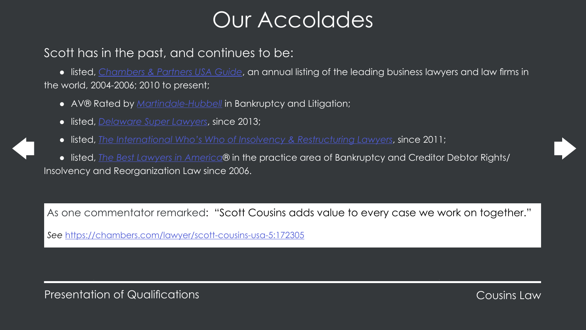

# Our Accolades

# Scott has in the past, and continues to be:

● listed, *[Chambers & Partners USA Guide](https://chambers.com/lawyer/scott-cousins-usa-5:172305)*, an annual listing of the leading business lawyers and law firms in the world, 2004-2006; 2010 to present;

- AV® Rated by *[Martindale-Hubbell](https://www.martindale.com/attorney/scott-d-cousins-168627866/)* in Bankruptcy and Litigation;
- listed, *[Delaware Super Lawyers](https://profiles.superlawyers.com/delaware/wilmington/lawyer/scott-cousins/4618beba-862f-429a-8c05-cde52ec511e7.html)*, since 2013;
- listed, *[The International Who's Who of Insolvency & Restructuring Lawyers](https://whoswholegal.com/scott-d-cousins)*, since 2011;

● listed, *[The Best Lawyers in America](https://www.bestlawyers.com/Search)*® in the practice area of Bankruptcy and Creditor Debtor Rights/ Insolvency and Reorganization Law since 2006.

As one commentator remarked: "Scott Cousins adds value to every case we work on together."

*See* <https://chambers.com/lawyer/scott-cousins-usa-5:172305>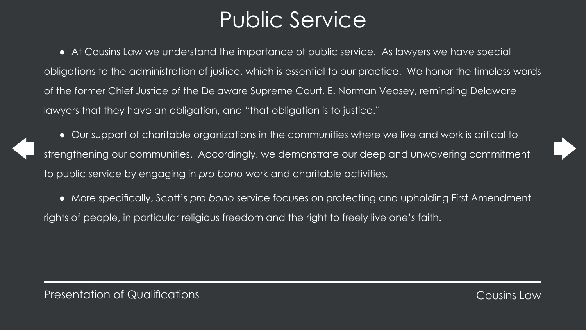



# Public Service

● At Cousins Law we understand the importance of public service. As lawyers we have special obligations to the administration of justice, which is essential to our practice. We honor the timeless words of the former Chief Justice of the Delaware Supreme Court, E. Norman Veasey, reminding Delaware lawyers that they have an obligation, and "that obligation is to justice."

Our support of charitable organizations in the communities where we live and work is critical to strengthening our communities. Accordingly, we demonstrate our deep and unwavering commitment to public service by engaging in *pro bono* work and charitable activities. ● More specifically, Scott's *pro bono* service focuses on protecting and upholding First Amendment rights of people, in particular religious freedom and the right to freely live one's faith.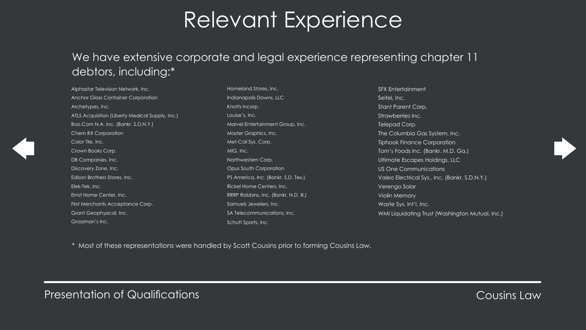# Relevant Experience

Alphastar Television Network, Inc. Anchor Glass Container Corporation Archetypes, Inc. ATLS Acquisition (Liberty Medical Supply, Inc.) Boo.Com N.A. Inc. (Bankr. S.D.N.Y.) Chem RX Corporation Color Tile, Inc. Crown Books Corp. DB Companies, Inc. Discovery Zone, Inc. Edison Brothers Stores, Inc. Elek-Tek, Inc. Ernst Home Center, Inc. First Merchants Acceptance Corp. Grant Geophysical, Inc. Grossman's Inc.

Homeland Stores, In Indianapolis Downs, Knotts Incorp. Louise's, Inc. **Marvel Entertainmer Master Graphics, Inc.** Met-Coil Sys. Corp. MIG, Inc. Northwestern Corp. Opus South Corpord PS America, Inc. (Bar **Rickel Home Center** RRRP Robbins, Inc. ( Samuels Jewelers, In SA Telecommunicati Schutt Sports, Inc.

| <b>SFX Entertainment</b>                        |
|-------------------------------------------------|
| Seitel, Inc.                                    |
| <b>Stant Parent Corp.</b>                       |
| Strawberries Inc.                               |
| Telepad Corp.                                   |
| The Columbia Gas System, Inc.                   |
| <b>Tiphook Finance Corporation</b>              |
| Tom's Foods Inc. (Bankr. M.D. Ga.)              |
| Ultimate Escapes Holdings, LLC                  |
| US One Communications                           |
| Valeo Electrical Sys., Inc. (Bankr. S.D.N.Y.)   |
| Verengo Solar                                   |
| <b>Violin Memory</b>                            |
| Waste Sys. Int'l, Inc.                          |
| WMI Liquidating Trust (Washington Mutual, Inc.) |
|                                                 |





## We have extensive corporate and legal experience representing chapter 11 debtors, including:\*

\* Most of these representations were handled by Scott Cousins prior to forming Cousins Law.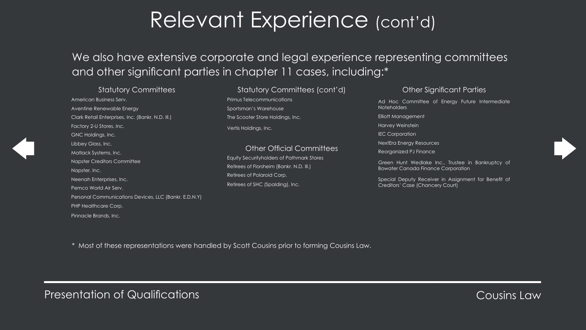# Relevant Experience (cont'd)

American Business Serv. Aventine Renewable Energy Clark Retail Enterprises, Inc. (Bankr. N.D. Ill.) Factory 2-U Stores, Inc. GNC Holdings, Inc. Libbey Glass, Inc. Matlack Systems, Inc. Napster Creditors Committee Napster, Inc. Neenah Enterprises, Inc. Pemco World Air Serv. Personal Communications Devices, LLC (Bankr. E.D.N.Y) PHP Healthcare Corp. Pinnacle Brands, Inc.

### Statutory Committees (cont'd)

Primus Telecommunications Sportsman's Warehouse The Scooter Store Holdings, Inc. Vertis Holdings, Inc.

### Other Official Committees

Equity Securityholders of Pathmark Stores Retirees of Florsheim (Bankr. N.D. Ill.) Retirees of Polaroid Corp. Retirees of SHC (Spalding), Inc.

### Other Significant Parties

Ad Hoc Committee of Energy Future Intermediate Noteholders

Elliott Management

Harvey Weinstein

**IEC Corporation** 

NextEra Energy Resources

Reorganized PJ Finance

Green Hunt Wedlake Inc., Trustee in Bankruptcy of Bowater Canada Finance Corporation

Special Deputy Receiver in Assignment for Benefit of Creditors' Case (Chancery Court)





# We also have extensive corporate and legal experience representing committees and other significant parties in chapter 11 cases, including:\*

### Statutory Committees

\* Most of these representations were handled by Scott Cousins prior to forming Cousins Law.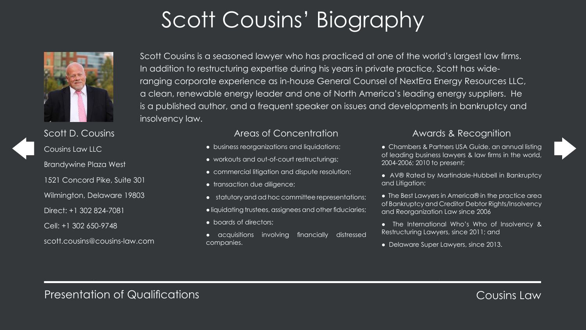acquisitions involving financially distressed

# Scott Cousins' Biography



Scott D. Cousins Cousins Law LLC Brandywine Plaza West 1521 Concord Pike, Suite 301 Wilmington, Delaware 19803 Direct: +1 302 824-7081 Cell: +1 302 650-9748 scott.cousins@cousins-law.com

### Areas of Concentration

- business reorganizations and liquidations;
- workouts and out-of-court restructurings;
- commercial litigation and dispute resolution;
- transaction due diligence;
- statutory and ad hoc committee representations;
- liquidating trustees, assignees and other fiduciaries;
- boards of directors;
- companies.
- Chambers & Partners USA Guide, an annual listing of leading business lawyers & law firms in the world, 2004-2006; 2010 to present;
- AV® Rated by Martindale-Hubbell in Bankruptcy and Litigation;
- The Best Lawyers in America® in the practice area of Bankruptcy and Creditor Debtor Rights/Insolvency and Reorganization Law since 2006
- The International Who's Who of Insolvency & Restructuring Lawyers, since 2011; and
- Delaware Super Lawyers, since 2013.



### Awards & Recognition

Scott Cousins is a seasoned lawyer who has practiced at one of the world's largest law firms. In addition to restructuring expertise during his years in private practice, Scott has wideranging corporate experience as in-house General Counsel of NextEra Energy Resources LLC, a clean, renewable energy leader and one of North America's leading energy suppliers. He is a published author, and a frequent speaker on issues and developments in bankruptcy and insolvency law.

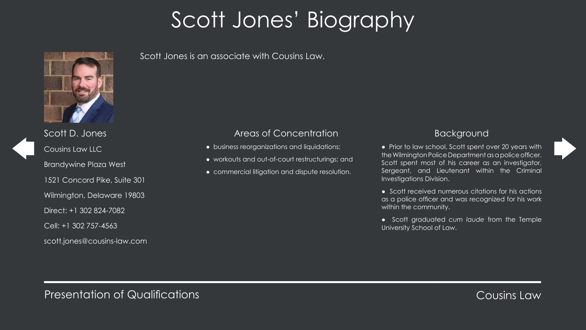# Scott Jones' Biography



Scott D. Jones Cousins Law LLC Brandywine Plaza West 1521 Concord Pike, Suite 301 Wilmington, Delaware 19803 Direct: +1 302 824-7082 Cell: +1 302 757-4563 scott.jones@cousins-law.com

### Areas of Concentration

- business reorganizations and liquidations;
- workouts and out-of-court restructurings; and
- commercial litigation and dispute resolution.

### Background

- Prior to law school, Scott spent over 20 years with the Wilmington Police Department as a police officer. Scott spent most of his career as an investigator, Sergeant, and Lieutenant within the Criminal Investigations Division.
- Scott received numerous citations for his actions as a police officer and was recognized for his work within the community.
- Scott graduated *cum laude* from the Temple University School of Law.





### Scott Jones is an associate with Cousins Law.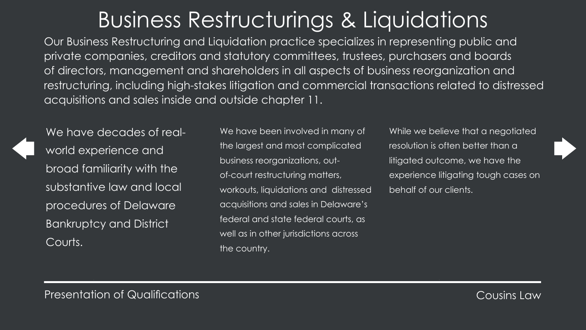# Business Restructurings & Liquidations

We have been involved in many of the largest and most complicated business reorganizations, outof-court restructuring matters, workouts, liquidations and distressed acquisitions and sales in Delaware's federal and state federal courts, as well as in other jurisdictions across the country.

While we believe that a negotiated resolution is often better than a litigated outcome, we have the experience litigating tough cases on behalf of our clients.





Our Business Restructuring and Liquidation practice specializes in representing public and private companies, creditors and statutory committees, trustees, purchasers and boards of directors, management and shareholders in all aspects of business reorganization and restructuring, including high-stakes litigation and commercial transactions related to distressed acquisitions and sales inside and outside chapter 11.



We have decades of realworld experience and broad familiarity with the substantive law and local procedures of Delaware Bankruptcy and District Courts.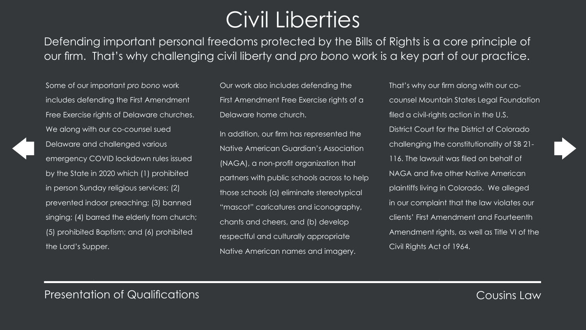# Civil Liberties

Some of our important *pro bono* work includes defending the First Amendment Free Exercise rights of Delaware churches. We along with our co-counsel sued Delaware and challenged various emergency COVID lockdown rules issued by the State in 2020 which (1) prohibited in person Sunday religious services; (2) prevented indoor preaching; (3) banned singing; (4) barred the elderly from church; (5) prohibited Baptism; and (6) prohibited the Lord's Supper.

Our work also includes defending the First Amendment Free Exercise rights of a Delaware home church. In addition, our firm has represented the Native American Guardian's Association (NAGA), a non-profit organization that partners with public schools across to help those schools (a) eliminate stereotypical "mascot" caricatures and iconography, chants and cheers, and (b) develop respectful and culturally appropriate Native American names and imagery.

That's why our firm along with our cocounsel Mountain States Legal Foundation filed a civil-rights action in the U.S. District Court for the District of Colorado challenging the constitutionality of SB 21- 116. The lawsuit was filed on behalf of NAGA and five other Native American plaintiffs living in Colorado. We alleged in our complaint that the law violates our clients' First Amendment and Fourteenth Amendment rights, as well as Title VI of the Civil Rights Act of 1964.



Defending important personal freedoms protected by the Bills of Rights is a core principle of our firm. That's why challenging civil liberty and *pro bono* work is a key part of our practice.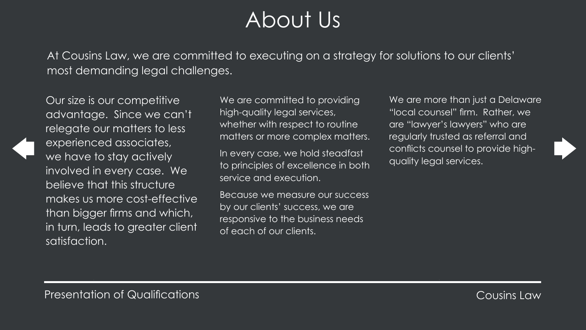# About Us

Our size is our competitive advantage. Since we can't relegate our matters to less experienced associates, we have to stay actively involved in every case. We believe that this structure makes us more cost-effective than bigger firms and which, in turn, leads to greater client satisfaction.

We are committed to providing high-quality legal services, whether with respect to routine matters or more complex matters.

In every case, we hold steadfast to principles of excellence in both service and execution.

We are more than just a Delaware "local counsel" firm. Rather, we are "lawyer's lawyers" who are regularly trusted as referral and conflicts counsel to provide highquality legal services.



Because we measure our success by our clients' success, we are responsive to the business needs of each of our clients.

## At Cousins Law, we are committed to executing on a strategy for solutions to our clients'

most demanding legal challenges.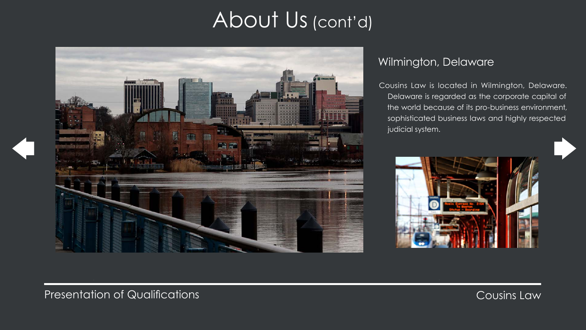# About Us (cont'd)



# Wilmington, Delaware

Cousins Law is located in Wilmington, Delaware. Delaware is regarded as the corporate capital of the world because of its pro-business environment, sophisticated business laws and highly respected judicial system.